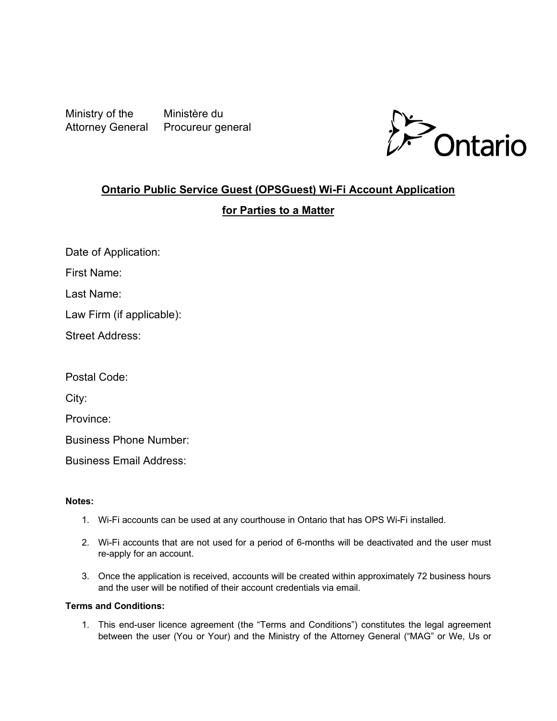Ministry of the Ministère du Attorney General Procureur general



# **Ontario Public Service Guest (OPSGuest) Wi-Fi Account Application**

## **for Parties to a Matter**

Date of Application:

First Name:

Last Name:

Law Firm (if applicable):

Street Address:

Postal Code:

City:

Province:

Business Phone Number:

Business Email Address:

### **Notes:**

- 1. Wi-Fi accounts can be used at any courthouse in Ontario that has OPS Wi-Fi installed.
- 2. Wi-Fi accounts that are not used for a period of 6-months will be deactivated and the user must re-apply for an account.
- 3. Once the application is received, accounts will be created within approximately 72 business hours and the user will be notified of their account credentials via email.

### **Terms and Conditions:**

1. This end-user licence agreement (the "Terms and Conditions") constitutes the legal agreement between the user (You or Your) and the Ministry of the Attorney General ("MAG" or We, Us or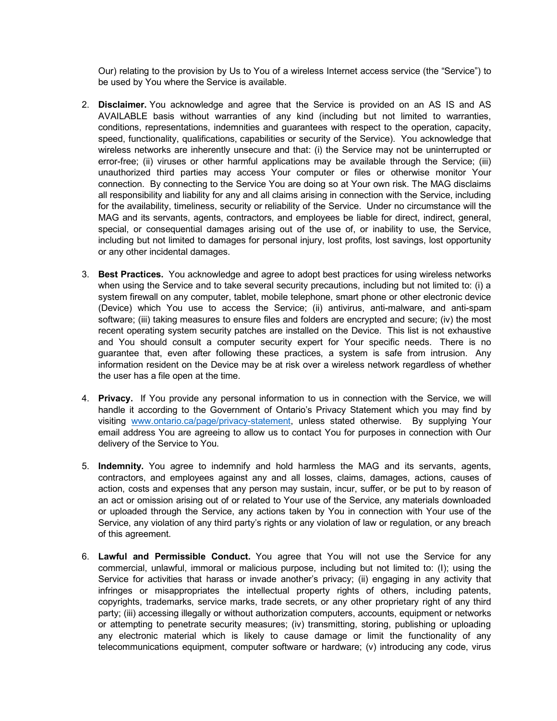Our) relating to the provision by Us to You of a wireless Internet access service (the "Service") to be used by You where the Service is available.

- 2. **Disclaimer.** You acknowledge and agree that the Service is provided on an AS IS and AS AVAILABLE basis without warranties of any kind (including but not limited to warranties, conditions, representations, indemnities and guarantees with respect to the operation, capacity, speed, functionality, qualifications, capabilities or security of the Service). You acknowledge that wireless networks are inherently unsecure and that: (i) the Service may not be uninterrupted or error-free; (ii) viruses or other harmful applications may be available through the Service; (iii) unauthorized third parties may access Your computer or files or otherwise monitor Your connection. By connecting to the Service You are doing so at Your own risk. The MAG disclaims all responsibility and liability for any and all claims arising in connection with the Service, including for the availability, timeliness, security or reliability of the Service. Under no circumstance will the MAG and its servants, agents, contractors, and employees be liable for direct, indirect, general, special, or consequential damages arising out of the use of, or inability to use, the Service, including but not limited to damages for personal injury, lost profits, lost savings, lost opportunity or any other incidental damages.
- 3. **Best Practices.** You acknowledge and agree to adopt best practices for using wireless networks when using the Service and to take several security precautions, including but not limited to: (i) a system firewall on any computer, tablet, mobile telephone, smart phone or other electronic device (Device) which You use to access the Service; (ii) antivirus, anti-malware, and anti-spam software; (iii) taking measures to ensure files and folders are encrypted and secure; (iv) the most recent operating system security patches are installed on the Device. This list is not exhaustive and You should consult a computer security expert for Your specific needs. There is no guarantee that, even after following these practices, a system is safe from intrusion. Any information resident on the Device may be at risk over a wireless network regardless of whether the user has a file open at the time.
- 4. **Privacy.** If You provide any personal information to us in connection with the Service, we will handle it according to the Government of Ontario's Privacy Statement which you may find by visiting www.ontario.ca/page/privacy-statement, unless stated otherwise. By supplying Your email address You are agreeing to allow us to contact You for purposes in connection with Our delivery of the Service to You.
- 5. **Indemnity.** You agree to indemnify and hold harmless the MAG and its servants, agents, contractors, and employees against any and all losses, claims, damages, actions, causes of action, costs and expenses that any person may sustain, incur, suffer, or be put to by reason of an act or omission arising out of or related to Your use of the Service, any materials downloaded or uploaded through the Service, any actions taken by You in connection with Your use of the Service, any violation of any third party's rights or any violation of law or regulation, or any breach of this agreement.
- 6. **Lawful and Permissible Conduct.** You agree that You will not use the Service for any commercial, unlawful, immoral or malicious purpose, including but not limited to: (I); using the Service for activities that harass or invade another's privacy; (ii) engaging in any activity that infringes or misappropriates the intellectual property rights of others, including patents, copyrights, trademarks, service marks, trade secrets, or any other proprietary right of any third party; (iii) accessing illegally or without authorization computers, accounts, equipment or networks or attempting to penetrate security measures; (iv) transmitting, storing, publishing or uploading any electronic material which is likely to cause damage or limit the functionality of any telecommunications equipment, computer software or hardware; (v) introducing any code, virus